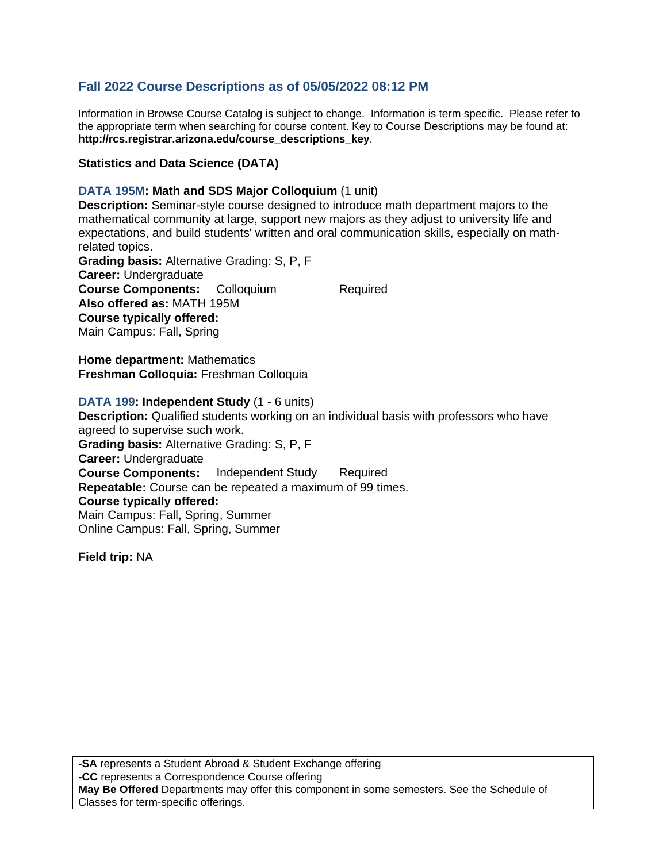# **Fall 2022 Course Descriptions as of 05/05/2022 08:12 PM**

Information in Browse Course Catalog is subject to change. Information is term specific. Please refer to the appropriate term when searching for course content. Key to Course Descriptions may be found at: **http://rcs.registrar.arizona.edu/course\_descriptions\_key**.

## **Statistics and Data Science (DATA)**

## **DATA 195M: Math and SDS Major Colloquium** (1 unit)

**Description:** Seminar-style course designed to introduce math department majors to the mathematical community at large, support new majors as they adjust to university life and expectations, and build students' written and oral communication skills, especially on mathrelated topics.

**Grading basis:** Alternative Grading: S, P, F **Career:** Undergraduate **Course Components:** Colloquium Required **Also offered as:** MATH 195M **Course typically offered:**  Main Campus: Fall, Spring

**Home department:** Mathematics **Freshman Colloquia:** Freshman Colloquia

#### **DATA 199: Independent Study** (1 - 6 units)

**Description:** Qualified students working on an individual basis with professors who have agreed to supervise such work. **Grading basis:** Alternative Grading: S, P, F **Career:** Undergraduate **Course Components:** Independent Study Required **Repeatable:** Course can be repeated a maximum of 99 times. **Course typically offered:**  Main Campus: Fall, Spring, Summer Online Campus: Fall, Spring, Summer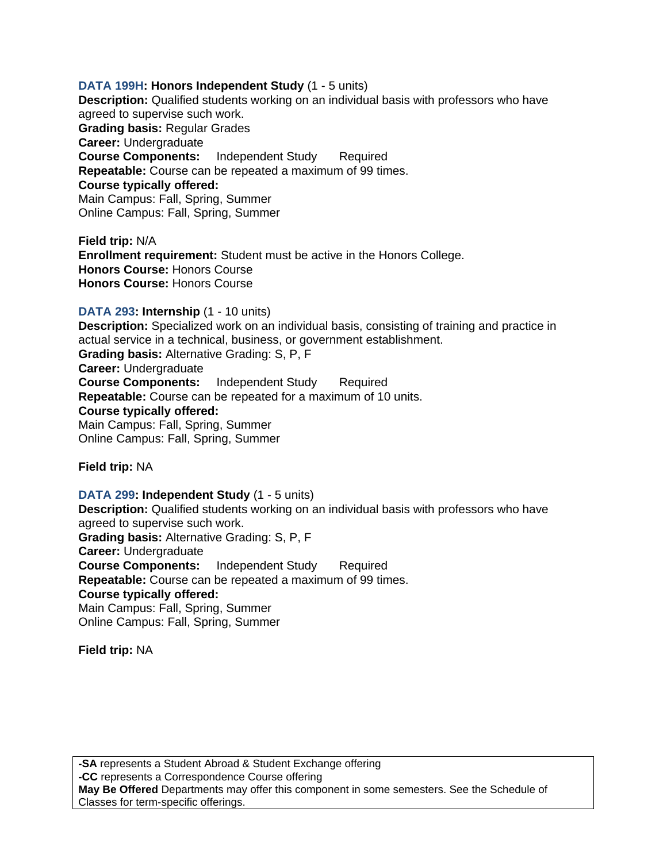## **DATA 199H: Honors Independent Study** (1 - 5 units)

**Description:** Qualified students working on an individual basis with professors who have agreed to supervise such work. **Grading basis:** Regular Grades **Career:** Undergraduate **Course Components:** Independent Study Required **Repeatable:** Course can be repeated a maximum of 99 times. **Course typically offered:**  Main Campus: Fall, Spring, Summer Online Campus: Fall, Spring, Summer

**Field trip:** N/A **Enrollment requirement:** Student must be active in the Honors College. **Honors Course:** Honors Course **Honors Course:** Honors Course

## **DATA 293: Internship** (1 - 10 units)

**Description:** Specialized work on an individual basis, consisting of training and practice in actual service in a technical, business, or government establishment. **Grading basis:** Alternative Grading: S, P, F **Career:** Undergraduate **Course Components:** Independent Study Required **Repeatable:** Course can be repeated for a maximum of 10 units. **Course typically offered:**  Main Campus: Fall, Spring, Summer Online Campus: Fall, Spring, Summer

**Field trip:** NA

**DATA 299: Independent Study** (1 - 5 units) **Description:** Qualified students working on an individual basis with professors who have agreed to supervise such work. **Grading basis:** Alternative Grading: S, P, F **Career:** Undergraduate **Course Components:** Independent Study Required **Repeatable:** Course can be repeated a maximum of 99 times. **Course typically offered:**  Main Campus: Fall, Spring, Summer Online Campus: Fall, Spring, Summer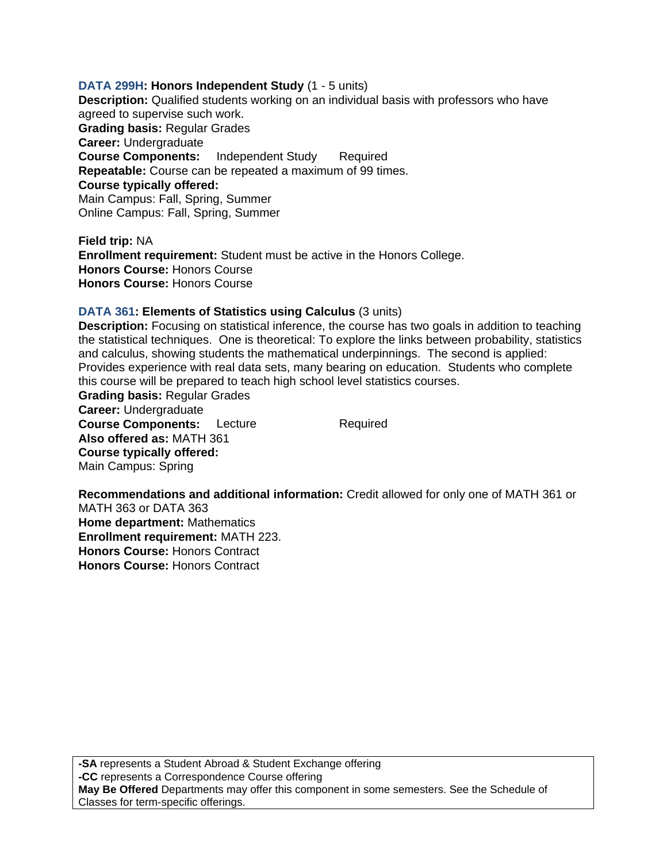#### **DATA 299H: Honors Independent Study** (1 - 5 units)

**Description:** Qualified students working on an individual basis with professors who have agreed to supervise such work. **Grading basis:** Regular Grades **Career:** Undergraduate **Course Components:** Independent Study Required **Repeatable:** Course can be repeated a maximum of 99 times. **Course typically offered:**  Main Campus: Fall, Spring, Summer Online Campus: Fall, Spring, Summer

**Field trip:** NA **Enrollment requirement:** Student must be active in the Honors College. **Honors Course:** Honors Course **Honors Course:** Honors Course

## **DATA 361: Elements of Statistics using Calculus** (3 units)

**Description:** Focusing on statistical inference, the course has two goals in addition to teaching the statistical techniques. One is theoretical: To explore the links between probability, statistics and calculus, showing students the mathematical underpinnings. The second is applied: Provides experience with real data sets, many bearing on education. Students who complete this course will be prepared to teach high school level statistics courses.

**Grading basis:** Regular Grades **Career:** Undergraduate **Course Components:** Lecture Required **Also offered as:** MATH 361 **Course typically offered:**  Main Campus: Spring

**Recommendations and additional information:** Credit allowed for only one of MATH 361 or MATH 363 or DATA 363 **Home department:** Mathematics **Enrollment requirement:** MATH 223. **Honors Course:** Honors Contract **Honors Course:** Honors Contract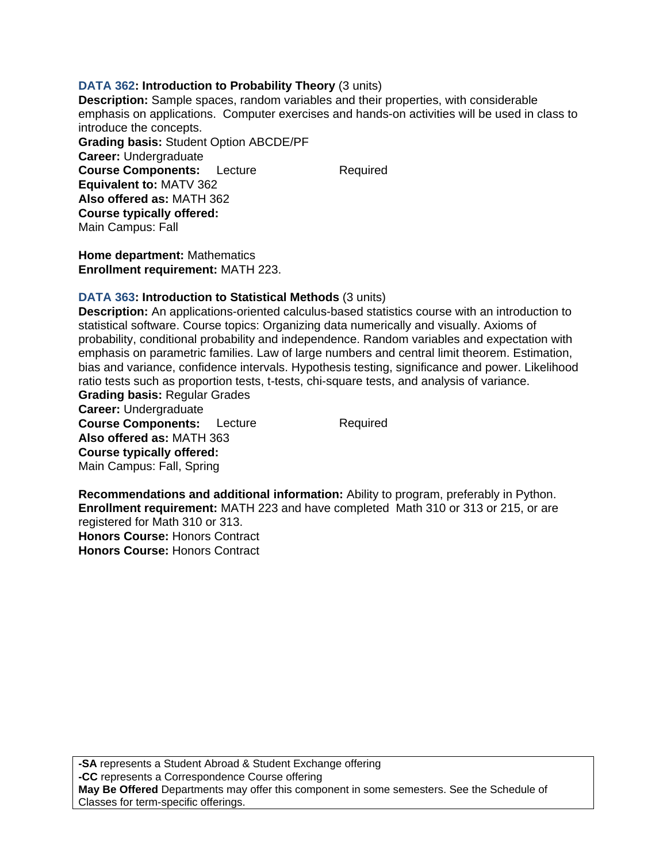## **DATA 362: Introduction to Probability Theory** (3 units)

**Description:** Sample spaces, random variables and their properties, with considerable emphasis on applications. Computer exercises and hands-on activities will be used in class to introduce the concepts. **Grading basis:** Student Option ABCDE/PF **Career:** Undergraduate **Course Components:** Lecture Required **Equivalent to:** MATV 362 **Also offered as:** MATH 362 **Course typically offered:**  Main Campus: Fall

**Home department:** Mathematics **Enrollment requirement:** MATH 223.

## **DATA 363: Introduction to Statistical Methods** (3 units)

**Description:** An applications-oriented calculus-based statistics course with an introduction to statistical software. Course topics: Organizing data numerically and visually. Axioms of probability, conditional probability and independence. Random variables and expectation with emphasis on parametric families. Law of large numbers and central limit theorem. Estimation, bias and variance, confidence intervals. Hypothesis testing, significance and power. Likelihood ratio tests such as proportion tests, t-tests, chi-square tests, and analysis of variance. **Grading basis:** Regular Grades

**Career:** Undergraduate **Course Components:** Lecture Required **Also offered as:** MATH 363 **Course typically offered:**  Main Campus: Fall, Spring

**Recommendations and additional information:** Ability to program, preferably in Python. **Enrollment requirement:** MATH 223 and have completed Math 310 or 313 or 215, or are registered for Math 310 or 313. **Honors Course:** Honors Contract **Honors Course:** Honors Contract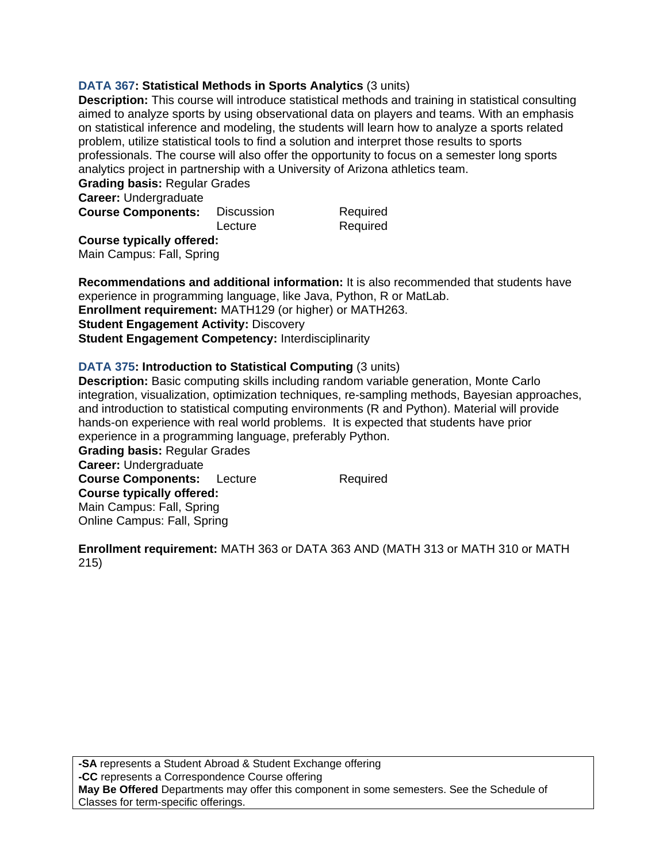## **DATA 367: Statistical Methods in Sports Analytics** (3 units)

**Description:** This course will introduce statistical methods and training in statistical consulting aimed to analyze sports by using observational data on players and teams. With an emphasis on statistical inference and modeling, the students will learn how to analyze a sports related problem, utilize statistical tools to find a solution and interpret those results to sports professionals. The course will also offer the opportunity to focus on a semester long sports analytics project in partnership with a University of Arizona athletics team.

**Grading basis:** Regular Grades

**Career:** Undergraduate

| <b>Course Components:</b> | Discussion | Required |
|---------------------------|------------|----------|
|                           | Lecture    | Required |

**Course typically offered:**  Main Campus: Fall, Spring

**Recommendations and additional information:** It is also recommended that students have experience in programming language, like Java, Python, R or MatLab. **Enrollment requirement:** MATH129 (or higher) or MATH263. **Student Engagement Activity: Discovery Student Engagement Competency:** Interdisciplinarity

## **DATA 375: Introduction to Statistical Computing** (3 units)

**Description:** Basic computing skills including random variable generation, Monte Carlo integration, visualization, optimization techniques, re-sampling methods, Bayesian approaches, and introduction to statistical computing environments (R and Python). Material will provide hands-on experience with real world problems. It is expected that students have prior experience in a programming language, preferably Python.

**Grading basis:** Regular Grades **Career:** Undergraduate **Course Components:** Lecture Required **Course typically offered:**  Main Campus: Fall, Spring Online Campus: Fall, Spring

**Enrollment requirement:** MATH 363 or DATA 363 AND (MATH 313 or MATH 310 or MATH 215)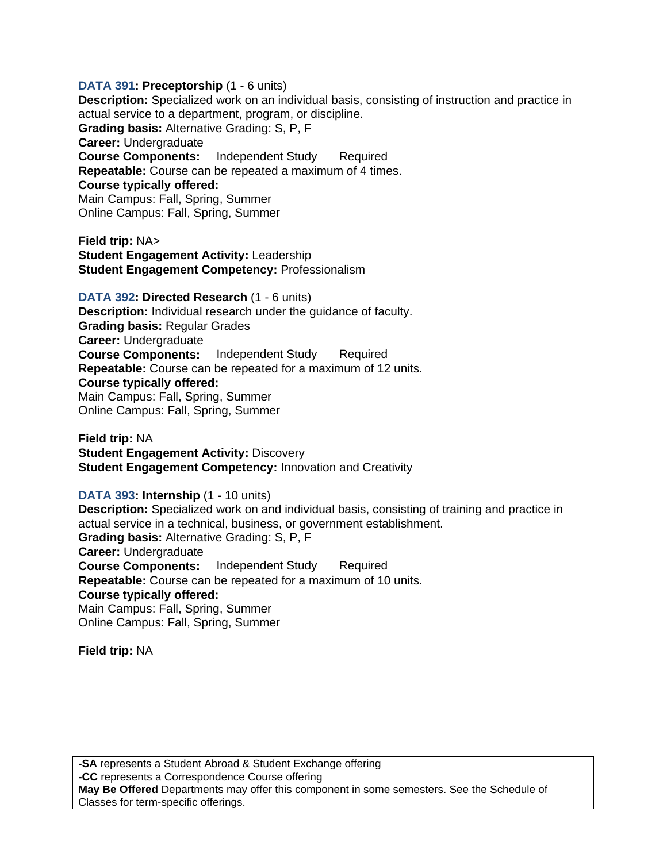## **DATA 391: Preceptorship** (1 - 6 units) **Description:** Specialized work on an individual basis, consisting of instruction and practice in actual service to a department, program, or discipline. **Grading basis:** Alternative Grading: S, P, F **Career:** Undergraduate **Course Components:** Independent Study Required **Repeatable:** Course can be repeated a maximum of 4 times. **Course typically offered:**  Main Campus: Fall, Spring, Summer Online Campus: Fall, Spring, Summer

**Field trip:** NA> **Student Engagement Activity:** Leadership **Student Engagement Competency:** Professionalism

**DATA 392: Directed Research** (1 - 6 units) **Description:** Individual research under the guidance of faculty. **Grading basis:** Regular Grades **Career:** Undergraduate **Course Components:** Independent Study Required **Repeatable:** Course can be repeated for a maximum of 12 units. **Course typically offered:**  Main Campus: Fall, Spring, Summer Online Campus: Fall, Spring, Summer

**Field trip:** NA **Student Engagement Activity: Discovery Student Engagement Competency: Innovation and Creativity** 

**DATA 393: Internship** (1 - 10 units) **Description:** Specialized work on and individual basis, consisting of training and practice in actual service in a technical, business, or government establishment. **Grading basis:** Alternative Grading: S, P, F **Career:** Undergraduate **Course Components:** Independent Study Required **Repeatable:** Course can be repeated for a maximum of 10 units. **Course typically offered:**  Main Campus: Fall, Spring, Summer

Online Campus: Fall, Spring, Summer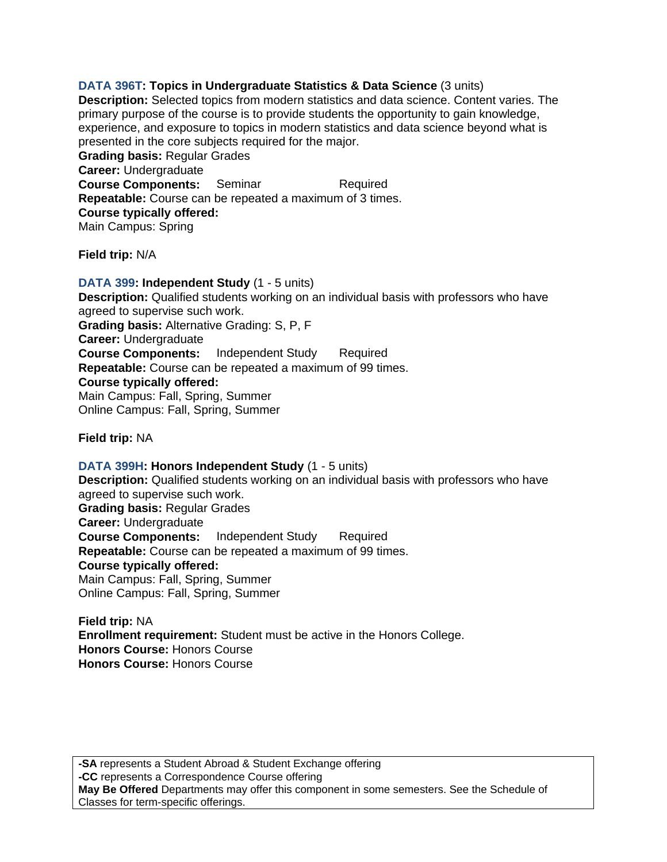**DATA 396T: Topics in Undergraduate Statistics & Data Science** (3 units) **Description:** Selected topics from modern statistics and data science. Content varies. The primary purpose of the course is to provide students the opportunity to gain knowledge, experience, and exposure to topics in modern statistics and data science beyond what is presented in the core subjects required for the major. **Grading basis:** Regular Grades **Career:** Undergraduate **Course Components:** Seminar Required **Repeatable:** Course can be repeated a maximum of 3 times. **Course typically offered:**  Main Campus: Spring

**Field trip:** N/A

**DATA 399: Independent Study** (1 - 5 units) **Description:** Qualified students working on an individual basis with professors who have agreed to supervise such work. **Grading basis:** Alternative Grading: S, P, F **Career:** Undergraduate **Course Components:** Independent Study Required **Repeatable:** Course can be repeated a maximum of 99 times. **Course typically offered:**  Main Campus: Fall, Spring, Summer Online Campus: Fall, Spring, Summer

**Field trip:** NA

**DATA 399H: Honors Independent Study** (1 - 5 units) **Description:** Qualified students working on an individual basis with professors who have agreed to supervise such work. **Grading basis:** Regular Grades **Career:** Undergraduate **Course Components:** Independent Study Required **Repeatable:** Course can be repeated a maximum of 99 times. **Course typically offered:**  Main Campus: Fall, Spring, Summer Online Campus: Fall, Spring, Summer

**Field trip:** NA **Enrollment requirement:** Student must be active in the Honors College. **Honors Course:** Honors Course **Honors Course:** Honors Course

**-SA** represents a Student Abroad & Student Exchange offering **-CC** represents a Correspondence Course offering **May Be Offered** Departments may offer this component in some semesters. See the Schedule of Classes for term-specific offerings.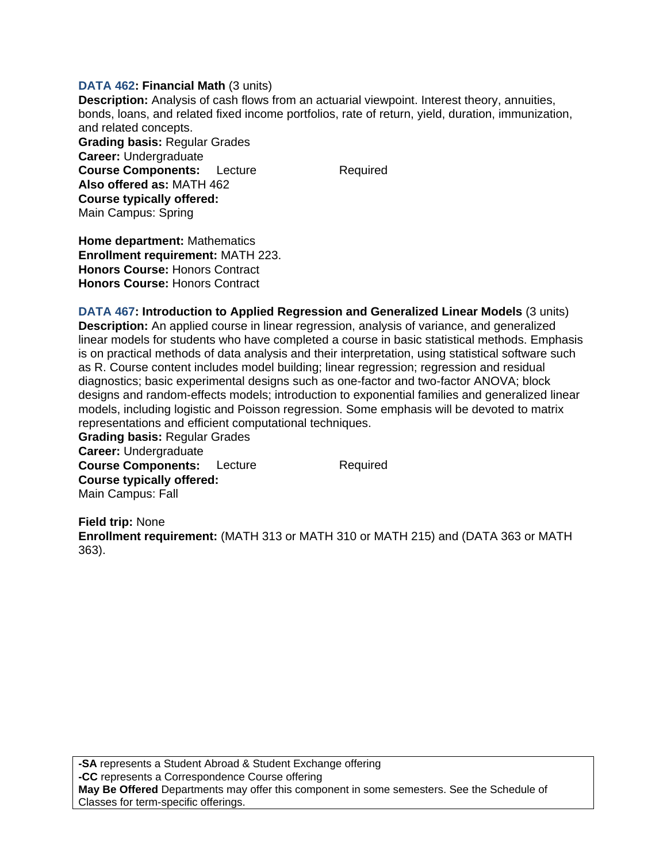#### **DATA 462: Financial Math** (3 units)

**Description:** Analysis of cash flows from an actuarial viewpoint. Interest theory, annuities, bonds, loans, and related fixed income portfolios, rate of return, yield, duration, immunization, and related concepts.

**Grading basis:** Regular Grades **Career:** Undergraduate **Course Components:** Lecture Required **Also offered as:** MATH 462 **Course typically offered:**  Main Campus: Spring

**Home department:** Mathematics **Enrollment requirement:** MATH 223. **Honors Course:** Honors Contract **Honors Course:** Honors Contract

**DATA 467: Introduction to Applied Regression and Generalized Linear Models** (3 units) **Description:** An applied course in linear regression, analysis of variance, and generalized linear models for students who have completed a course in basic statistical methods. Emphasis is on practical methods of data analysis and their interpretation, using statistical software such as R. Course content includes model building; linear regression; regression and residual diagnostics; basic experimental designs such as one-factor and two-factor ANOVA; block designs and random-effects models; introduction to exponential families and generalized linear models, including logistic and Poisson regression. Some emphasis will be devoted to matrix representations and efficient computational techniques.

**Grading basis:** Regular Grades **Career:** Undergraduate **Course Components:** Lecture Required **Course typically offered:**  Main Campus: Fall

**Field trip:** None **Enrollment requirement:** (MATH 313 or MATH 310 or MATH 215) and (DATA 363 or MATH 363).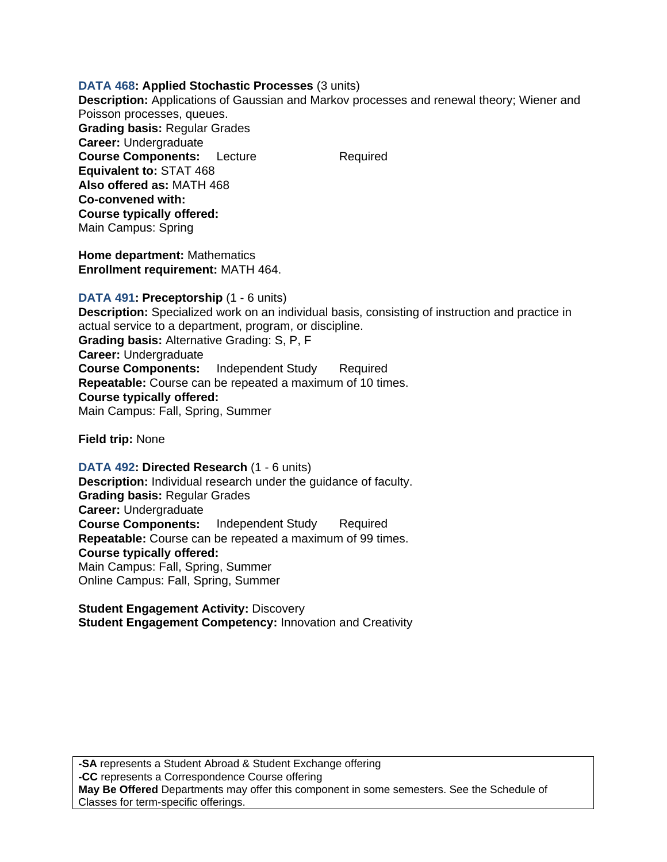## **DATA 468: Applied Stochastic Processes** (3 units)

**Description:** Applications of Gaussian and Markov processes and renewal theory; Wiener and Poisson processes, queues. **Grading basis:** Regular Grades

**Career:** Undergraduate **Course Components:** Lecture Required **Equivalent to:** STAT 468 **Also offered as:** MATH 468 **Co-convened with: Course typically offered:**  Main Campus: Spring

**Home department:** Mathematics **Enrollment requirement:** MATH 464.

**DATA 491: Preceptorship** (1 - 6 units) **Description:** Specialized work on an individual basis, consisting of instruction and practice in actual service to a department, program, or discipline. **Grading basis:** Alternative Grading: S, P, F **Career:** Undergraduate **Course Components:** Independent Study Required **Repeatable:** Course can be repeated a maximum of 10 times. **Course typically offered:**  Main Campus: Fall, Spring, Summer

**Field trip:** None

**DATA 492: Directed Research** (1 - 6 units) **Description:** Individual research under the guidance of faculty. **Grading basis:** Regular Grades **Career:** Undergraduate **Course Components:** Independent Study Required **Repeatable:** Course can be repeated a maximum of 99 times. **Course typically offered:**  Main Campus: Fall, Spring, Summer Online Campus: Fall, Spring, Summer

**Student Engagement Activity:** Discovery **Student Engagement Competency:** Innovation and Creativity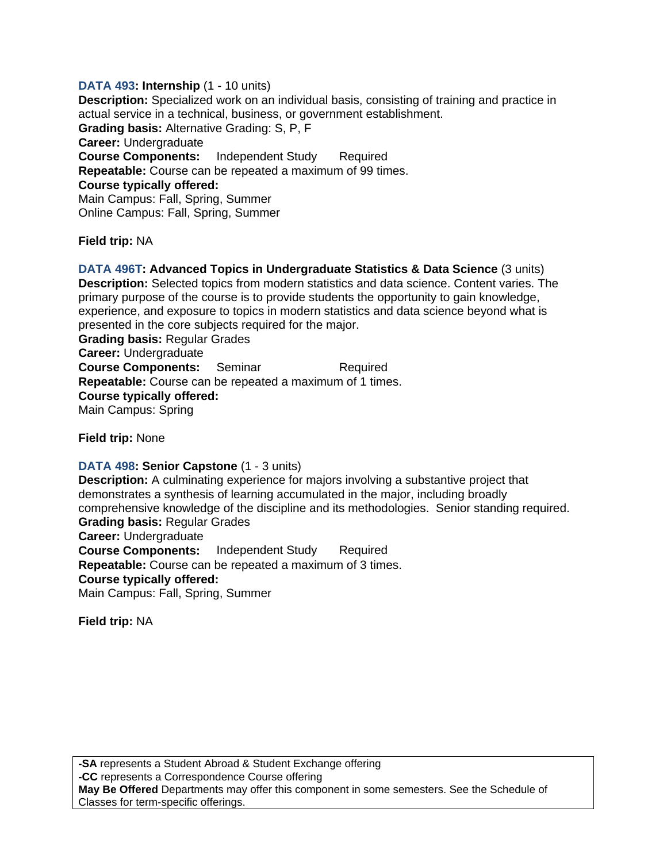# **DATA 493: Internship** (1 - 10 units)

**Description:** Specialized work on an individual basis, consisting of training and practice in actual service in a technical, business, or government establishment. **Grading basis:** Alternative Grading: S, P, F **Career:** Undergraduate **Course Components:** Independent Study Required **Repeatable:** Course can be repeated a maximum of 99 times. **Course typically offered:**  Main Campus: Fall, Spring, Summer Online Campus: Fall, Spring, Summer

**Field trip:** NA

**DATA 496T: Advanced Topics in Undergraduate Statistics & Data Science** (3 units) **Description:** Selected topics from modern statistics and data science. Content varies. The primary purpose of the course is to provide students the opportunity to gain knowledge, experience, and exposure to topics in modern statistics and data science beyond what is presented in the core subjects required for the major. **Grading basis:** Regular Grades **Career:** Undergraduate **Course Components:** Seminar Required **Repeatable:** Course can be repeated a maximum of 1 times. **Course typically offered:**  Main Campus: Spring

**Field trip:** None

# **DATA 498: Senior Capstone** (1 - 3 units)

**Description:** A culminating experience for majors involving a substantive project that demonstrates a synthesis of learning accumulated in the major, including broadly comprehensive knowledge of the discipline and its methodologies. Senior standing required. **Grading basis:** Regular Grades **Career:** Undergraduate **Course Components:** Independent Study Required **Repeatable:** Course can be repeated a maximum of 3 times. **Course typically offered:**  Main Campus: Fall, Spring, Summer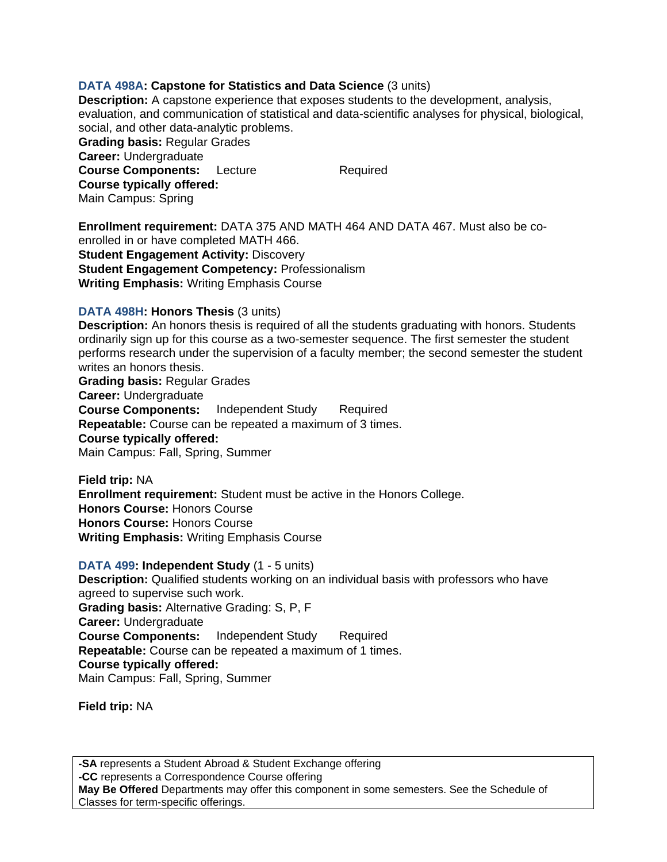## **DATA 498A: Capstone for Statistics and Data Science** (3 units)

**Description:** A capstone experience that exposes students to the development, analysis, evaluation, and communication of statistical and data-scientific analyses for physical, biological, social, and other data-analytic problems. **Grading basis:** Regular Grades

**Career:** Undergraduate **Course Components:** Lecture Required **Course typically offered:**  Main Campus: Spring

**Enrollment requirement:** DATA 375 AND MATH 464 AND DATA 467. Must also be coenrolled in or have completed MATH 466. **Student Engagement Activity: Discovery Student Engagement Competency:** Professionalism **Writing Emphasis:** Writing Emphasis Course

## **DATA 498H: Honors Thesis** (3 units)

**Description:** An honors thesis is required of all the students graduating with honors. Students ordinarily sign up for this course as a two-semester sequence. The first semester the student performs research under the supervision of a faculty member; the second semester the student writes an honors thesis.

**Grading basis:** Regular Grades **Career:** Undergraduate **Course Components:** Independent Study Required **Repeatable:** Course can be repeated a maximum of 3 times. **Course typically offered:**  Main Campus: Fall, Spring, Summer

**Field trip:** NA **Enrollment requirement:** Student must be active in the Honors College. **Honors Course:** Honors Course **Honors Course:** Honors Course **Writing Emphasis:** Writing Emphasis Course

**DATA 499: Independent Study** (1 - 5 units) **Description:** Qualified students working on an individual basis with professors who have agreed to supervise such work. **Grading basis:** Alternative Grading: S, P, F **Career:** Undergraduate **Course Components:** Independent Study Required **Repeatable:** Course can be repeated a maximum of 1 times. **Course typically offered:**  Main Campus: Fall, Spring, Summer

**Field trip:** NA

**-SA** represents a Student Abroad & Student Exchange offering **-CC** represents a Correspondence Course offering **May Be Offered** Departments may offer this component in some semesters. See the Schedule of Classes for term-specific offerings.